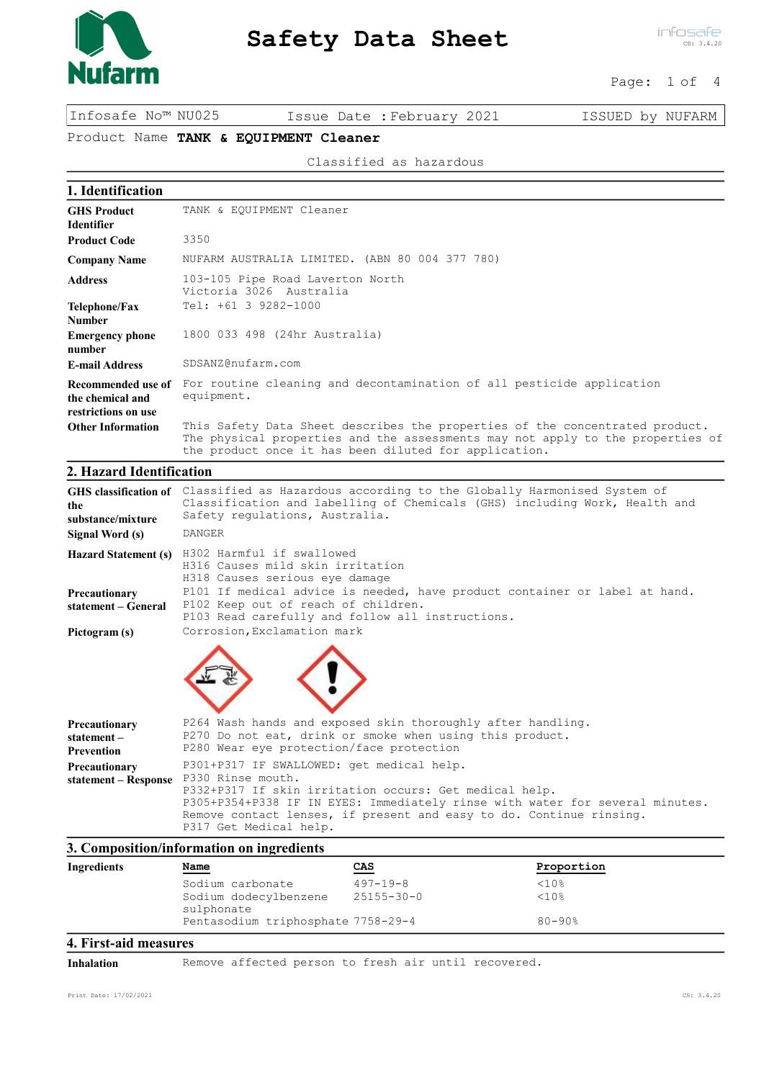

# Safety Data Sheet

infosafe CS: 3.4.20

#### Page: 1 of 4

Infosafe No™ NU025 Issue Date :February 2021 ISSUED by NUFARM

# Product Name TANK & EQUIPMENT Cleaner

Classified as hazardous

| 1. Identification                                             |                                                                                                                                                                                                                         |
|---------------------------------------------------------------|-------------------------------------------------------------------------------------------------------------------------------------------------------------------------------------------------------------------------|
| <b>GHS Product</b><br><b>Identifier</b>                       | TANK & EOUIPMENT Cleaner                                                                                                                                                                                                |
| <b>Product Code</b>                                           | 3350                                                                                                                                                                                                                    |
| <b>Company Name</b>                                           | NUFARM AUSTRALIA LIMITED. (ABN 80 004 377 780)                                                                                                                                                                          |
| <b>Address</b>                                                | 103-105 Pipe Road Laverton North<br>Victoria 3026 Australia                                                                                                                                                             |
| Telephone/Fax<br><b>Number</b>                                | Tel: +61 3 9282-1000                                                                                                                                                                                                    |
| <b>Emergency phone</b><br>number                              | 1800 033 498 (24hr Australia)                                                                                                                                                                                           |
| <b>E-mail Address</b>                                         | SDSANZ@nufarm.com                                                                                                                                                                                                       |
| Recommended use of<br>the chemical and<br>restrictions on use | For routine cleaning and decontamination of all pesticide application<br>equipment.                                                                                                                                     |
| <b>Other Information</b>                                      | This Safety Data Sheet describes the properties of the concentrated product.<br>The physical properties and the assessments may not apply to the properties of<br>the product once it has been diluted for application. |

## 2. Hazard Identification

| the<br>substance/mixture<br>Signal Word (s)      | GHS classification of Classified as Hazardous according to the Globally Harmonised System of<br>Classification and labelling of Chemicals (GHS) including Work, Health and<br>Safety regulations, Australia.<br><b>DANGER</b>                                                                             |
|--------------------------------------------------|-----------------------------------------------------------------------------------------------------------------------------------------------------------------------------------------------------------------------------------------------------------------------------------------------------------|
|                                                  | Hazard Statement (s) H302 Harmful if swallowed<br>H316 Causes mild skin irritation<br>H318 Causes serious eye damage                                                                                                                                                                                      |
| Precautionary<br>statement – General             | P101 If medical advice is needed, have product container or label at hand.<br>P102 Keep out of reach of children.<br>P103 Read carefully and follow all instructions.                                                                                                                                     |
| Pictogram (s)                                    | Corrosion, Exclamation mark                                                                                                                                                                                                                                                                               |
|                                                  |                                                                                                                                                                                                                                                                                                           |
| Precautionary<br>statement-<br><b>Prevention</b> | P264 Wash hands and exposed skin thoroughly after handling.<br>P270 Do not eat, drink or smoke when using this product.<br>P280 Wear eye protection/face protection                                                                                                                                       |
| Precautionary<br>statement – Response            | P301+P317 IF SWALLOWED: get medical help.<br>P330 Rinse mouth.<br>P332+P317 If skin irritation occurs: Get medical help.<br>P305+P354+P338 IF IN EYES: Immediately rinse with water for several minutes.<br>Remove contact lenses, if present and easy to do. Continue rinsing.<br>P317 Get Medical help. |

### 3. Composition/information on ingredients

| Ingredients | -<br><u>Name</u>                    | CAS            | Proportion  |  |
|-------------|-------------------------------------|----------------|-------------|--|
|             | Sodium carbonate                    | $497 - 19 - 8$ | <10%        |  |
|             | Sodium dodecylbenzene<br>sulphonate | 25155-30-0     | <10%        |  |
|             | Pentasodium triphosphate 7758-29-4  |                | $80 - 90$ % |  |
|             |                                     |                |             |  |

#### 4. First-aid measures

Inhalation Remove affected person to fresh air until recovered.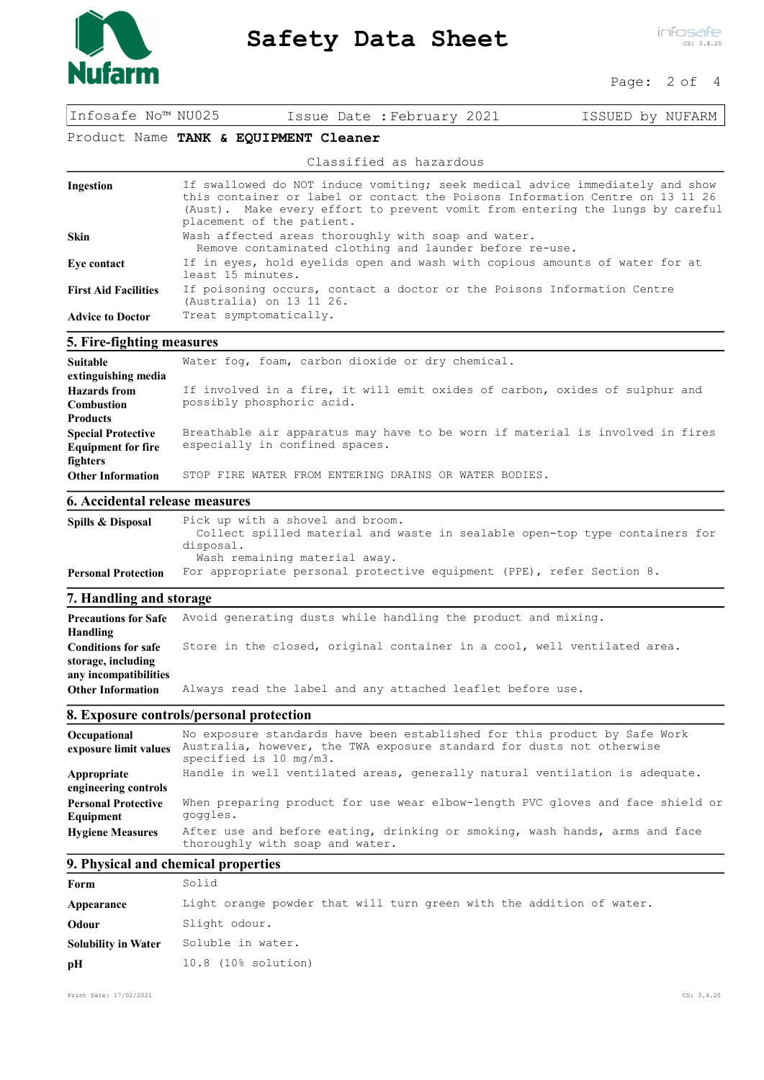

# Safety Data Sheet

infosafe CS: 3.4.20

#### Page: 2 of 4

Infosafe No™ NU025 Issue Date :February 2021 ISSUED by NUFARM

## Product Name TANK & EQUIPMENT Cleaner

Classified as hazardous

| Ingestion                   | If swallowed do NOT induce vomiting; seek medical advice immediately and show<br>this container or label or contact the Poisons Information Centre on 13 11 26<br>(Aust). Make every effort to prevent vomit from entering the lungs by careful<br>placement of the patient. |
|-----------------------------|------------------------------------------------------------------------------------------------------------------------------------------------------------------------------------------------------------------------------------------------------------------------------|
| <b>Skin</b>                 | Wash affected areas thoroughly with soap and water.<br>Remove contaminated clothing and launder before re-use.                                                                                                                                                               |
| Eye contact                 | If in eyes, hold eyelids open and wash with copious amounts of water for at<br>least 15 minutes.                                                                                                                                                                             |
| <b>First Aid Facilities</b> | If poisoning occurs, contact a doctor or the Poisons Information Centre<br>(Australia) on 13 11 26.                                                                                                                                                                          |
| <b>Advice to Doctor</b>     | Treat symptomatically.                                                                                                                                                                                                                                                       |

### 5. Fire-fighting measures

| Suitable<br>extinguishing media                                    | Water fog, foam, carbon dioxide or dry chemical.                                                                |
|--------------------------------------------------------------------|-----------------------------------------------------------------------------------------------------------------|
| <b>Hazards</b> from<br><b>Combustion</b><br><b>Products</b>        | If involved in a fire, it will emit oxides of carbon, oxides of sulphur and<br>possibly phosphoric acid.        |
| <b>Special Protective</b><br><b>Equipment for fire</b><br>fighters | Breathable air apparatus may have to be worn if material is involved in fires<br>especially in confined spaces. |
| <b>Other Information</b>                                           | STOP FIRE WATER FROM ENTERING DRAINS OR WATER BODIES.                                                           |

#### 6. Accidental release measures

| Spills & Disposal          | Pick up with a shovel and broom.<br>Collect spilled material and waste in sealable open-top type containers for<br>disposal.<br>Wash remaining material away. |
|----------------------------|---------------------------------------------------------------------------------------------------------------------------------------------------------------|
| <b>Personal Protection</b> | For appropriate personal protective equipment (PPE), refer Section 8.                                                                                         |

# 7. Handling and storage

| <b>Precautions for Safe</b><br>Handling                                   | Avoid generating dusts while handling the product and mixing.            |
|---------------------------------------------------------------------------|--------------------------------------------------------------------------|
| <b>Conditions for safe</b><br>storage, including<br>any incompatibilities | Store in the closed, original container in a cool, well ventilated area. |
| <b>Other Information</b>                                                  | Always read the label and any attached leaflet before use.               |

### 8. Exposure controls/personal protection

| Occupational<br>exposure limit values   | No exposure standards have been established for this product by Safe Work<br>Australia, however, the TWA exposure standard for dusts not otherwise<br>specified is $10 \text{ mg/m3.}$ |
|-----------------------------------------|----------------------------------------------------------------------------------------------------------------------------------------------------------------------------------------|
| Appropriate<br>engineering controls     | Handle in well ventilated areas, generally natural ventilation is adequate.                                                                                                            |
| <b>Personal Protective</b><br>Equipment | When preparing product for use wear elbow-length PVC gloves and face shield or<br>goggles.                                                                                             |
| <b>Hygiene Measures</b>                 | After use and before eating, drinking or smoking, wash hands, arms and face<br>thoroughly with soap and water.                                                                         |

### 9. Physical and chemical properties

| Form                       | Solid                                                                |
|----------------------------|----------------------------------------------------------------------|
| Appearance                 | Light orange powder that will turn green with the addition of water. |
| Odour                      | Slight odour.                                                        |
| <b>Solubility in Water</b> | Soluble in water.                                                    |
| pH                         | 10.8 (10% solution)                                                  |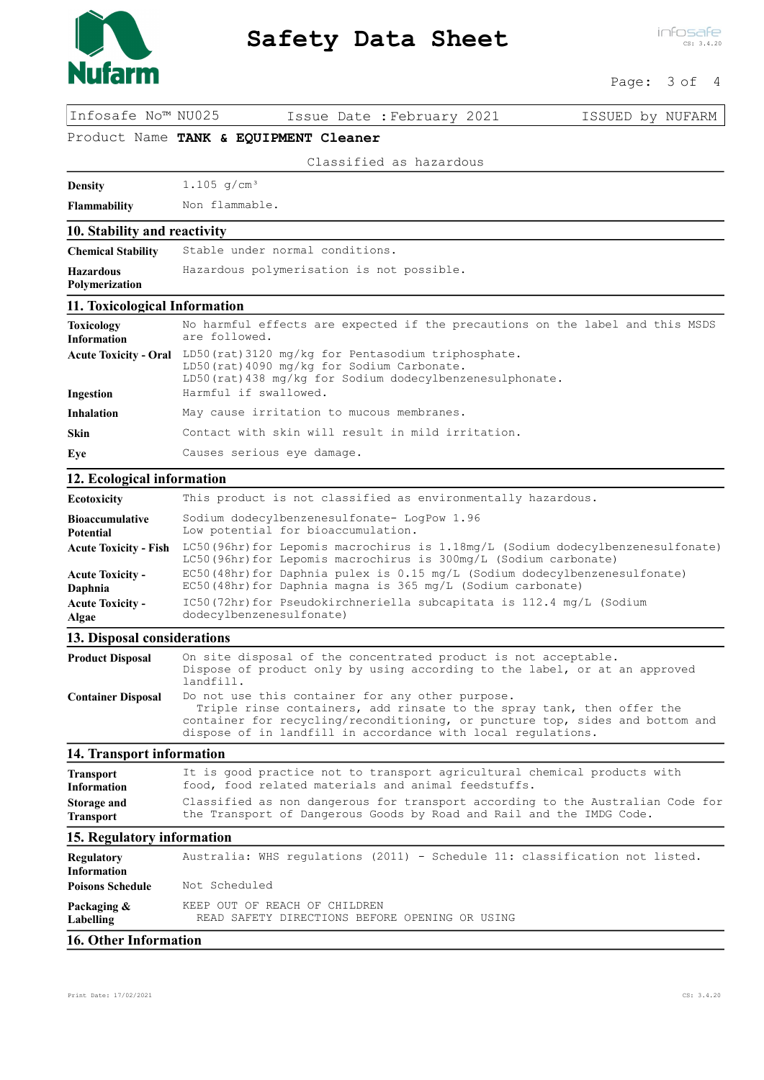

## Page: 3 of 4

Infosafe No™ NU025 Issue Date :February 2021 ISSUED by NUFARM

Product Name TANK & EQUIPMENT Cleaner

Classified as hazardous

**Density** 1.105  $g/cm^3$ 

Flammability Non flammable.

#### 10. Stability and reactivity

| <b>Chemical Stability</b>                 | Stable under normal conditions.           |
|-------------------------------------------|-------------------------------------------|
| <b>Hazardous</b><br><b>Polymerization</b> | Hazardous polymerisation is not possible. |

#### 11. Toxicological Information

| <b>Toxicology</b><br>Information | No harmful effects are expected if the precautions on the label and this MSDS<br>are followed.                                                                |
|----------------------------------|---------------------------------------------------------------------------------------------------------------------------------------------------------------|
| <b>Acute Toxicity - Oral</b>     | LD50(rat)3120 mg/kg for Pentasodium triphosphate.<br>LD50 (rat) 4090 mg/kg for Sodium Carbonate.<br>LD50 (rat) 438 mg/kg for Sodium dodecylbenzenesulphonate. |
| Ingestion                        | Harmful if swallowed.                                                                                                                                         |
| <b>Inhalation</b>                | May cause irritation to mucous membranes.                                                                                                                     |
| <b>Skin</b>                      | Contact with skin will result in mild irritation.                                                                                                             |
| Eye                              | Causes serious eye damage.                                                                                                                                    |

### 12. Ecological information

| Ecotoxicity                  | This product is not classified as environmentally hazardous.                                                                                          |  |
|------------------------------|-------------------------------------------------------------------------------------------------------------------------------------------------------|--|
| <b>Bioaccumulative</b>       | Sodium dodecylbenzenesulfonate- LogPow 1.96                                                                                                           |  |
| <b>Potential</b>             | Low potential for bioaccumulation.                                                                                                                    |  |
| <b>Acute Toxicity - Fish</b> | LC50 (96hr) for Lepomis macrochirus is 1.18mg/L (Sodium dodecylbenzenesulfonate)<br>LC50 (96hr) for Lepomis macrochirus is 300mg/L (Sodium carbonate) |  |
| <b>Acute Toxicity -</b>      | EC50(48hr)for Daphnia pulex is 0.15 mg/L (Sodium dodecylbenzenesulfonate)                                                                             |  |
| Daphnia                      | $EC50$ (48hr) for Daphnia magna is 365 mg/L (Sodium carbonate)                                                                                        |  |
| <b>Acute Toxicity -</b>      | IC50(72hr)for Pseudokirchneriella subcapitata is 112.4 mg/L (Sodium                                                                                   |  |
| Algae                        | dodecylbenzenesulfonate)                                                                                                                              |  |

### 13. Disposal considerations

| <b>Product Disposal</b>   | On site disposal of the concentrated product is not acceptable.<br>Dispose of product only by using according to the label, or at an approved<br>landfill.                                                                                                                  |
|---------------------------|-----------------------------------------------------------------------------------------------------------------------------------------------------------------------------------------------------------------------------------------------------------------------------|
| <b>Container Disposal</b> | Do not use this container for any other purpose.<br>Triple rinse containers, add rinsate to the spray tank, then offer the<br>container for recycling/reconditioning, or puncture top, sides and bottom and<br>dispose of in landfill in accordance with local regulations. |

### 14. Transport information

| <b>Transport</b>   | It is good practice not to transport agricultural chemical products with       |
|--------------------|--------------------------------------------------------------------------------|
| <b>Information</b> | food, food related materials and animal feedstuffs.                            |
| Storage and        | Classified as non dangerous for transport according to the Australian Code for |
| <b>Transport</b>   | the Transport of Dangerous Goods by Road and Rail and the IMDG Code.           |

### 15. Regulatory information

| <b>Regulatory</b><br><b>Information</b> | Australia: WHS regulations (2011) - Schedule 11: classification not listed.     |  |  |  |  |
|-----------------------------------------|---------------------------------------------------------------------------------|--|--|--|--|
| <b>Poisons Schedule</b>                 | Not Scheduled                                                                   |  |  |  |  |
| Packaging &<br>Labelling                | KEEP OUT OF REACH OF CHILDREN<br>READ SAFETY DIRECTIONS BEFORE OPENING OR USING |  |  |  |  |
| <b>16. Other Information</b>            |                                                                                 |  |  |  |  |